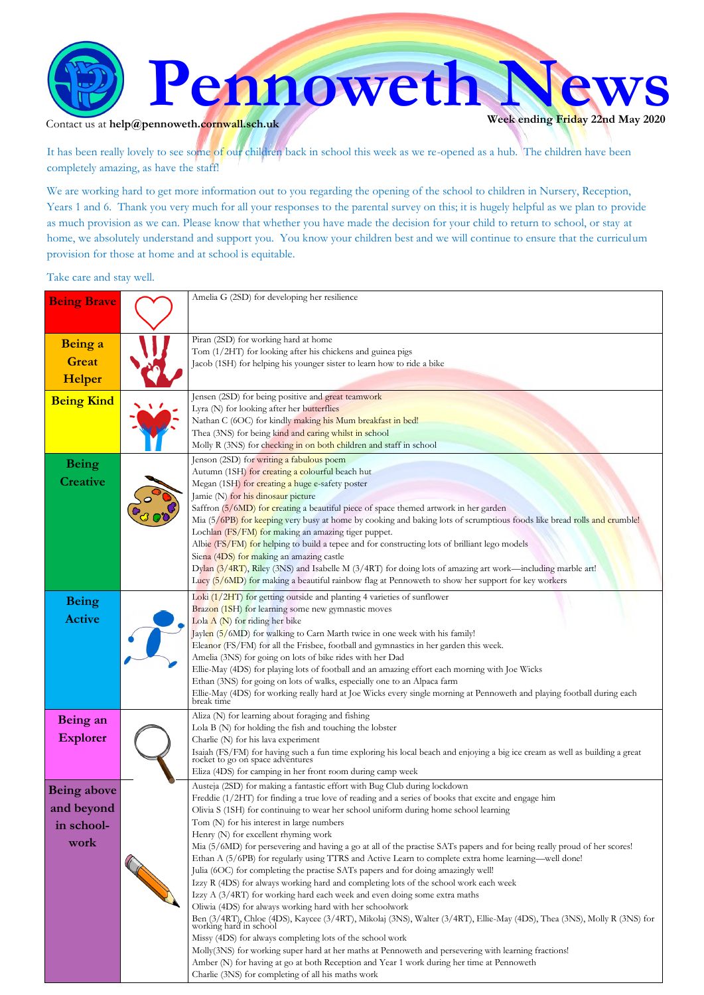

Contact us at  $\text{help@pennoweth.cornwall.sch.uk}$ 

It has been really lovely to see some of our children back in school this week as we re-opened as a hub. The children have been completely amazing, as have the staff!

We are working hard to get more information out to you regarding the opening of the school to children in Nursery, Reception, Years 1 and 6. Thank you very much for all your responses to the parental survey on this; it is hugely helpful as we plan to provide as much provision as we can. Please know that whether you have made the decision for your child to return to school, or stay at home, we absolutely understand and support you. You know your children best and we will continue to ensure that the curriculum provision for those at home and at school is equitable.

Take care and stay well.

| <b>Being Brave</b> | Amelia G (2SD) for developing her resilience                                                                                                                                                      |
|--------------------|---------------------------------------------------------------------------------------------------------------------------------------------------------------------------------------------------|
|                    |                                                                                                                                                                                                   |
|                    |                                                                                                                                                                                                   |
| Being a            | Piran (2SD) for working hard at home                                                                                                                                                              |
| <b>Great</b>       | Tom (1/2HT) for looking after his chickens and guinea pigs                                                                                                                                        |
|                    | Jacob (1SH) for helping his younger sister to learn how to ride a bike                                                                                                                            |
| Helper             |                                                                                                                                                                                                   |
| <b>Being Kind</b>  | Jensen (2SD) for being positive and great teamwork                                                                                                                                                |
|                    | Lyra (N) for looking after her butterflies                                                                                                                                                        |
|                    | Nathan C (6OC) for kindly making his Mum breakfast in bed!                                                                                                                                        |
|                    | Thea (3NS) for being kind and caring whilst in school                                                                                                                                             |
|                    | Molly R (3NS) for checking in on both children and staff in school                                                                                                                                |
| <b>Being</b>       | Jenson (2SD) for writing a fabulous poem                                                                                                                                                          |
| <b>Creative</b>    | Autumn (1SH) for creating a colourful beach hut                                                                                                                                                   |
|                    | Megan (1SH) for creating a huge e-safety poster                                                                                                                                                   |
|                    | Jamie (N) for his dinosaur picture<br>Saffron (5/6MD) for creating a beautiful piece of space themed artwork in her garden                                                                        |
|                    | Mia (5/6PB) for keeping very busy at home by cooking and baking lots of scrumptious foods like bread rolls and crumble!                                                                           |
|                    | Lochlan (FS/FM) for making an amazing tiger puppet.                                                                                                                                               |
|                    | Albie (FS/FM) for helping to build a tepee and for constructing lots of brilliant lego models                                                                                                     |
|                    | Siena (4DS) for making an amazing castle                                                                                                                                                          |
|                    | Dylan (3/4RT), Riley (3NS) and Isabelle M (3/4RT) for doing lots of amazing art work—including marble art!                                                                                        |
|                    | Lucy (5/6MD) for making a beautiful rainbow flag at Pennoweth to show her support for key workers                                                                                                 |
| <b>Being</b>       | Loki (1/2HT) for getting outside and planting 4 varieties of sunflower                                                                                                                            |
|                    | Brazon (1SH) for learning some new gymnastic moves                                                                                                                                                |
| <b>Active</b>      | Lola $A(N)$ for riding her bike                                                                                                                                                                   |
|                    | Jaylen (5/6MD) for walking to Carn Marth twice in one week with his family!                                                                                                                       |
|                    | Eleanor (FS/FM) for all the Frisbee, football and gymnastics in her garden this week.                                                                                                             |
|                    | Amelia (3NS) for going on lots of bike rides with her Dad                                                                                                                                         |
|                    | Ellie-May (4DS) for playing lots of football and an amazing effort each morning with Joe Wicks<br>Ethan (3NS) for going on lots of walks, especially one to an Alpaca farm                        |
|                    | Ellie-May (4DS) for working really hard at Joe Wicks every single morning at Pennoweth and playing football during each break time                                                                |
|                    |                                                                                                                                                                                                   |
| Being an           | Aliza (N) for learning about foraging and fishing                                                                                                                                                 |
|                    | Lola B (N) for holding the fish and touching the lobster                                                                                                                                          |
| <b>Explorer</b>    | Charlie (N) for his lava experiment                                                                                                                                                               |
|                    | Isaiah (FS/FM) for having such a fun time exploring his local beach and enjoying a big ice cream as well as building a great rocket to go on space adventures                                     |
|                    | Eliza (4DS) for camping in her front room during camp week                                                                                                                                        |
|                    | Austeja (2SD) for making a fantastic effort with Bug Club during lockdown                                                                                                                         |
| <b>Being above</b> | Freddie (1/2HT) for finding a true love of reading and a series of books that excite and engage him                                                                                               |
| and beyond         | Olivia S (1SH) for continuing to wear her school uniform during home school learning                                                                                                              |
| in school-         | Tom (N) for his interest in large numbers                                                                                                                                                         |
| work               | Henry (N) for excellent rhyming work                                                                                                                                                              |
|                    | Mia (5/6MD) for persevering and having a go at all of the practise SATs papers and for being really proud of her scores!                                                                          |
|                    | Ethan A (5/6PB) for regularly using TTRS and Active Learn to complete extra home learning—well done!                                                                                              |
|                    | Julia (6OC) for completing the practise SATs papers and for doing amazingly well!<br>Izzy R (4DS) for always working hard and completing lots of the school work each week                        |
|                    | Izzy A (3/4RT) for working hard each week and even doing some extra maths                                                                                                                         |
|                    | Oliwia (4DS) for always working hard with her schoolwork                                                                                                                                          |
|                    | Ben (3/4RT), Chloe (4DS), Kaycee (3/4RT), Mikolaj (3NS), Walter (3/4RT), Ellie-May (4DS), Thea (3NS), Molly R (3NS) for                                                                           |
|                    | working hard in school                                                                                                                                                                            |
|                    | Missy (4DS) for always completing lots of the school work                                                                                                                                         |
|                    | Molly(3NS) for working super hard at her maths at Pennoweth and persevering with learning fractions!<br>Amber (N) for having at go at both Reception and Year 1 work during her time at Pennoweth |
|                    | Charlie (3NS) for completing of all his maths work                                                                                                                                                |